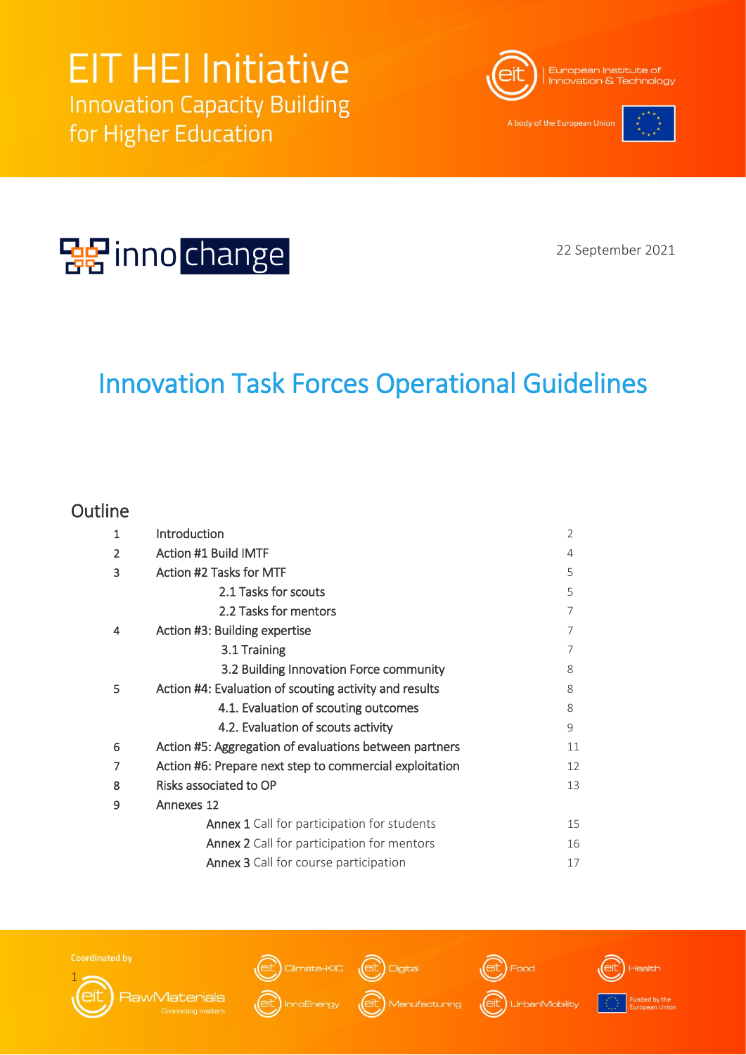

A body of the European Union





22 September 2021

## Innovation Task Forces Operational Guidelines

### **Outline**

| 1 | Introduction                                            | $\overline{2}$ |  |  |
|---|---------------------------------------------------------|----------------|--|--|
| 2 | <b>Action #1 Build IMTF</b>                             | 4              |  |  |
| 3 | Action #2 Tasks for MTF                                 | 5              |  |  |
|   | 2.1 Tasks for scouts                                    | 5              |  |  |
|   | 2.2 Tasks for mentors                                   | 7              |  |  |
| 4 | Action #3: Building expertise                           | 7              |  |  |
|   | 3.1 Training                                            | 7              |  |  |
|   | 3.2 Building Innovation Force community                 | 8              |  |  |
| 5 | Action #4: Evaluation of scouting activity and results  | 8              |  |  |
|   | 4.1. Evaluation of scouting outcomes                    | 8              |  |  |
|   | 4.2. Evaluation of scouts activity                      | 9              |  |  |
| 6 | Action #5: Aggregation of evaluations between partners  | 11             |  |  |
| 7 | Action #6: Prepare next step to commercial exploitation | 12             |  |  |
| 8 | Risks associated to OP<br>13                            |                |  |  |
| 9 | Annexes 12                                              |                |  |  |
|   | <b>Annex 1</b> Call for participation for students      | 15             |  |  |
|   | <b>Annex 2</b> Call for participation for mentors       | 16             |  |  |
|   | <b>Annex 3</b> Call for course participation            | 17             |  |  |







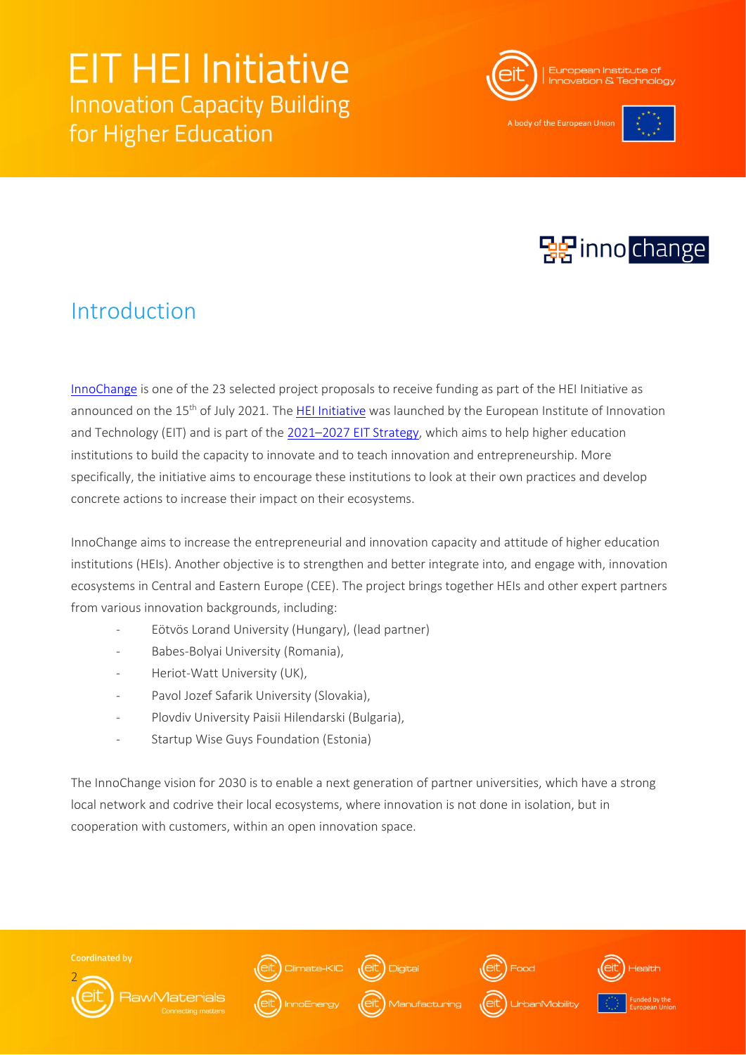

A body of the European Uni-





### Introduction

[InnoChange](https://www.eit-hei.eu/assets/pdf/fact-sheets/EIT-Project-Fact-Sheet-InnoChange.pdf) is one of the 23 selected project proposals to receive funding as part of the HEI Initiative as announced on the 15<sup>th</sup> of July 2021. The [HEI Initiative](https://www.eit-hei.eu/) was launched by the European Institute of Innovation and Technology (EIT) and is part of the [2](https://eit.europa.eu/who-we-are/eit-glance/eit-strategy-2021-2027)021–[2027 EIT Strategy,](https://eit.europa.eu/who-we-are/eit-glance/eit-strategy-2021-2027) which aims to help higher education institutions to build the capacity to innovate and to teach innovation and entrepreneurship. More specifically, the initiative aims to encourage these institutions to look at their own practices and develop concrete actions to increase their impact on their ecosystems.

InnoChange aims to increase the entrepreneurial and innovation capacity and attitude of higher education institutions (HEIs). Another objective is to strengthen and better integrate into, and engage with, innovation ecosystems in Central and Eastern Europe (CEE). The project brings together HEIs and other expert partners from various innovation backgrounds, including:

- Eötvös Lorand University (Hungary), (lead partner)
- Babes-Bolyai University (Romania),
- Heriot-Watt University (UK),
- Pavol Jozef Safarik University (Slovakia),
- Plovdiv University Paisii Hilendarski (Bulgaria),
- Startup Wise Guys Foundation (Estonia)

The InnoChange vision for 2030 is to enable a next generation of partner universities, which have a strong local network and codrive their local ecosystems, where innovation is not done in isolation, but in cooperation with customers, within an open innovation space.

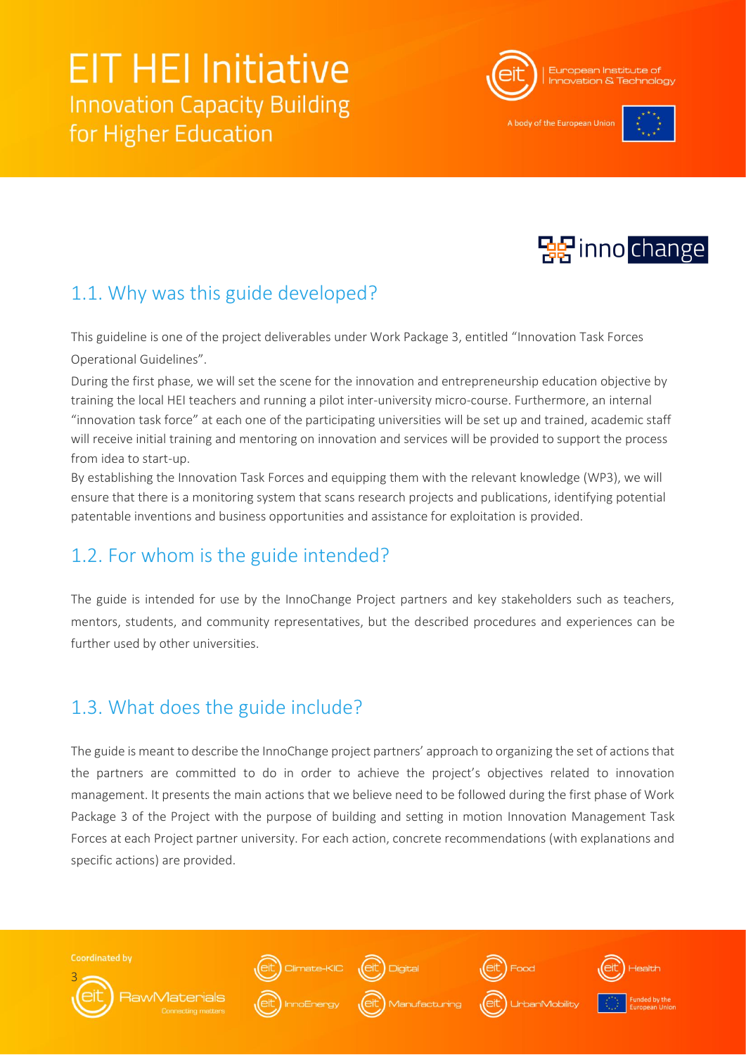

A body of the European Uni-





### 1.1. Why was this guide developed?

This guideline is one of the project deliverables under Work Package 3, entitled "Innovation Task Forces Operational Guidelines".

During the first phase, we will set the scene for the innovation and entrepreneurship education objective by training the local HEI teachers and running a pilot inter-university micro-course. Furthermore, an internal "innovation task force" at each one of the participating universities will be set up and trained, academic staff will receive initial training and mentoring on innovation and services will be provided to support the process from idea to start-up.

By establishing the Innovation Task Forces and equipping them with the relevant knowledge (WP3), we will ensure that there is a monitoring system that scans research projects and publications, identifying potential patentable inventions and business opportunities and assistance for exploitation is provided.

### 1.2. For whom is the guide intended?

The guide is intended for use by the InnoChange Project partners and key stakeholders such as teachers, mentors, students, and community representatives, but the described procedures and experiences can be further used by other universities.

### 1.3. What does the guide include?

The guide is meant to describe the InnoChange project partners' approach to organizing the set of actions that the partners are committed to do in order to achieve the project's objectives related to innovation management. It presents the main actions that we believe need to be followed during the first phase of Work Package 3 of the Project with the purpose of building and setting in motion Innovation Management Task Forces at each Project partner university. For each action, concrete recommendations (with explanations and specific actions) are provided.

**Coordinated by** 













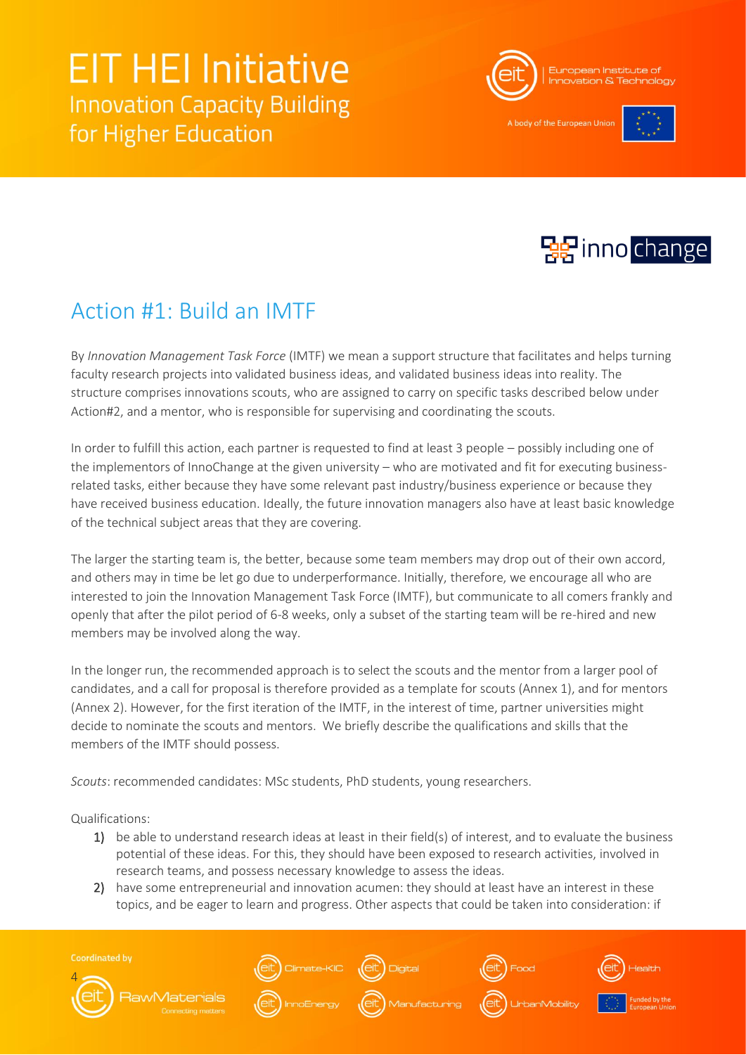

A body of the European Unio





### Action #1: Build an IMTF

By *Innovation Management Task Force* (IMTF) we mean a support structure that facilitates and helps turning faculty research projects into validated business ideas, and validated business ideas into reality. The structure comprises innovations scouts, who are assigned to carry on specific tasks described below under Action#2, and a mentor, who is responsible for supervising and coordinating the scouts.

In order to fulfill this action, each partner is requested to find at least 3 people – possibly including one of the implementors of InnoChange at the given university – who are motivated and fit for executing businessrelated tasks, either because they have some relevant past industry/business experience or because they have received business education. Ideally, the future innovation managers also have at least basic knowledge of the technical subject areas that they are covering.

The larger the starting team is, the better, because some team members may drop out of their own accord, and others may in time be let go due to underperformance. Initially, therefore, we encourage all who are interested to join the Innovation Management Task Force (IMTF), but communicate to all comers frankly and openly that after the pilot period of 6-8 weeks, only a subset of the starting team will be re-hired and new members may be involved along the way.

In the longer run, the recommended approach is to select the scouts and the mentor from a larger pool of candidates, and a call for proposal is therefore provided as a template for scouts (Annex 1), and for mentors (Annex 2). However, for the first iteration of the IMTF, in the interest of time, partner universities might decide to nominate the scouts and mentors. We briefly describe the qualifications and skills that the members of the IMTF should possess.

*Scouts*: recommended candidates: MSc students, PhD students, young researchers.

Qualifications:

- 1) be able to understand research ideas at least in their field(s) of interest, and to evaluate the business potential of these ideas. For this, they should have been exposed to research activities, involved in research teams, and possess necessary knowledge to assess the ideas.
- 2) have some entrepreneurial and innovation acumen: they should at least have an interest in these topics, and be eager to learn and progress. Other aspects that could be taken into consideration: if











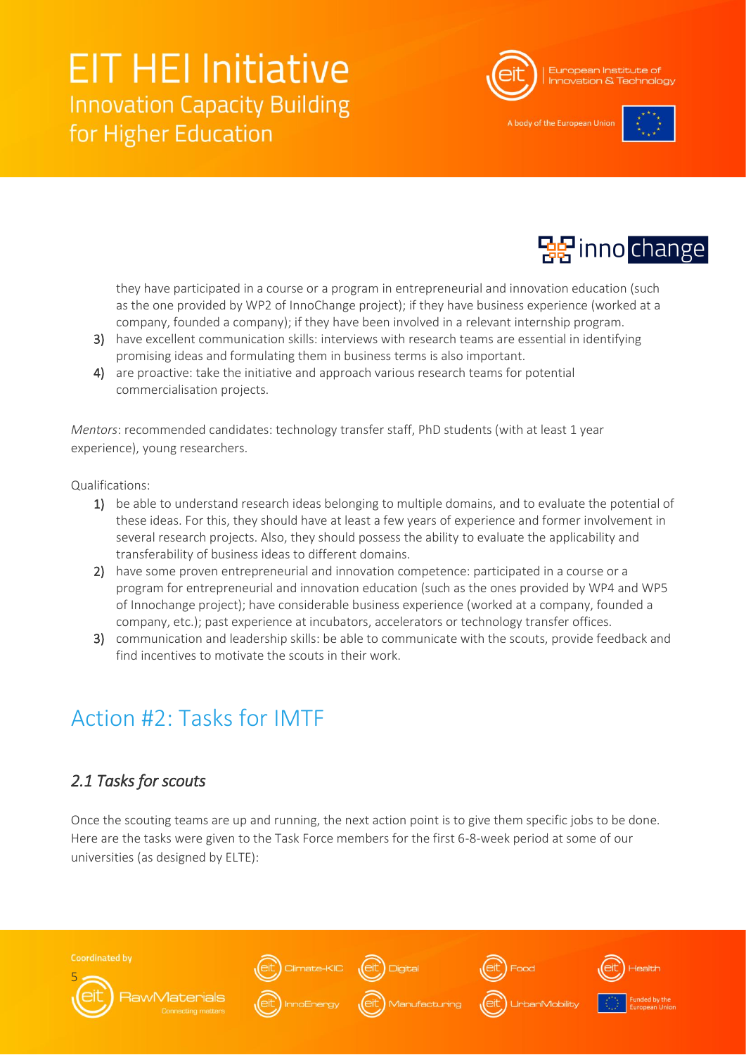

A body of the European Unio





they have participated in a course or a program in entrepreneurial and innovation education (such as the one provided by WP2 of InnoChange project); if they have business experience (worked at a company, founded a company); if they have been involved in a relevant internship program.

- 3) have excellent communication skills: interviews with research teams are essential in identifying promising ideas and formulating them in business terms is also important.
- 4) are proactive: take the initiative and approach various research teams for potential commercialisation projects.

*Mentors*: recommended candidates: technology transfer staff, PhD students (with at least 1 year experience), young researchers.

Qualifications:

- 1) be able to understand research ideas belonging to multiple domains, and to evaluate the potential of these ideas. For this, they should have at least a few years of experience and former involvement in several research projects. Also, they should possess the ability to evaluate the applicability and transferability of business ideas to different domains.
- 2) have some proven entrepreneurial and innovation competence: participated in a course or a program for entrepreneurial and innovation education (such as the ones provided by WP4 and WP5 of Innochange project); have considerable business experience (worked at a company, founded a company, etc.); past experience at incubators, accelerators or technology transfer offices.
- 3) communication and leadership skills: be able to communicate with the scouts, provide feedback and find incentives to motivate the scouts in their work.

## Action #2: Tasks for IMTF

### *2.1 Tasks for scouts*

Once the scouting teams are up and running, the next action point is to give them specific jobs to be done. Here are the tasks were given to the Task Force members for the first 6-8-week period at some of our universities (as designed by ELTE):

**Coordinated by** ate-KIC (eit) 5 **RawMaterials**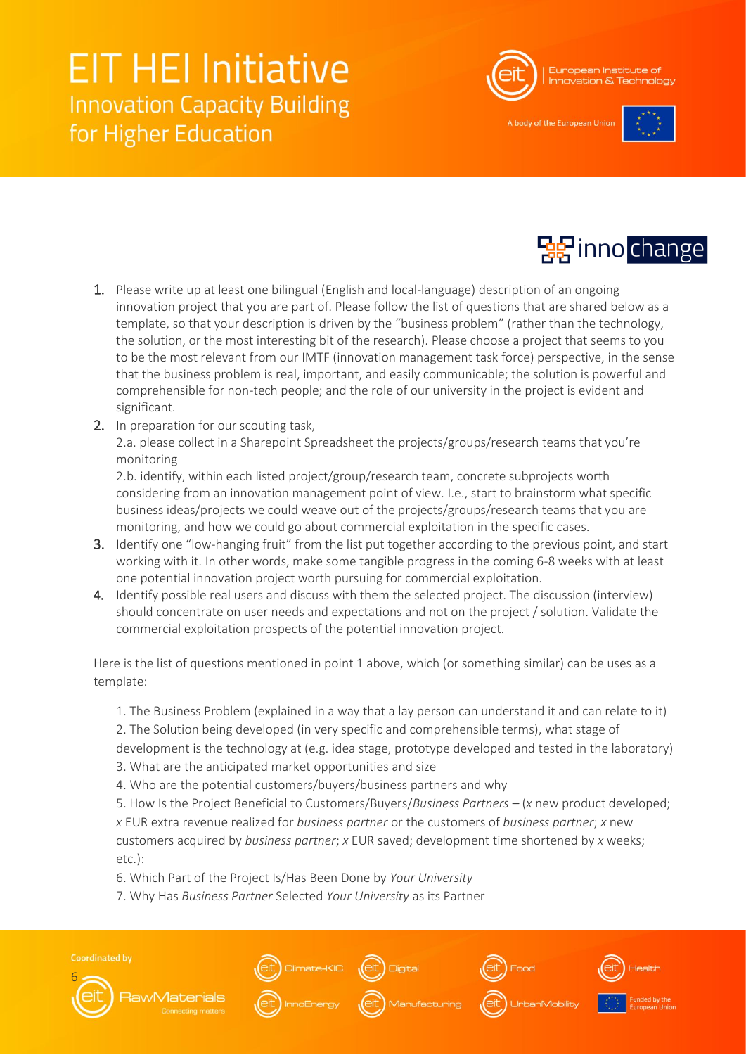

A body of the European Unio





- 1. Please write up at least one bilingual (English and local-language) description of an ongoing innovation project that you are part of. Please follow the list of questions that are shared below as a template, so that your description is driven by the "business problem" (rather than the technology, the solution, or the most interesting bit of the research). Please choose a project that seems to you to be the most relevant from our IMTF (innovation management task force) perspective, in the sense that the business problem is real, important, and easily communicable; the solution is powerful and comprehensible for non-tech people; and the role of our university in the project is evident and significant.
- 2. In preparation for our scouting task,

2.a. please collect in a Sharepoint Spreadsheet the projects/groups/research teams that you're monitoring

2.b. identify, within each listed project/group/research team, concrete subprojects worth considering from an innovation management point of view. I.e., start to brainstorm what specific business ideas/projects we could weave out of the projects/groups/research teams that you are monitoring, and how we could go about commercial exploitation in the specific cases.

- 3. Identify one "low-hanging fruit" from the list put together according to the previous point, and start working with it. In other words, make some tangible progress in the coming 6-8 weeks with at least one potential innovation project worth pursuing for commercial exploitation.
- 4. Identify possible real users and discuss with them the selected project. The discussion (interview) should concentrate on user needs and expectations and not on the project / solution. Validate the commercial exploitation prospects of the potential innovation project.

Here is the list of questions mentioned in point 1 above, which (or something similar) can be uses as a template:

1. The Business Problem (explained in a way that a lay person can understand it and can relate to it)

2. The Solution being developed (in very specific and comprehensible terms), what stage of

development is the technology at (e.g. idea stage, prototype developed and tested in the laboratory) 3. What are the anticipated market opportunities and size

4. Who are the potential customers/buyers/business partners and why

5. How Is the Project Beneficial to Customers/Buyers/*Business Partners –* (*x* new product developed; *x* EUR extra revenue realized for *business partner* or the customers of *business partner*; *x* new customers acquired by *business partner*; *x* EUR saved; development time shortened by *x* weeks; etc.):

- 6. Which Part of the Project Is/Has Been Done by *Your University*
- 7. Why Has *Business Partner* Selected *Your University* as its Partner

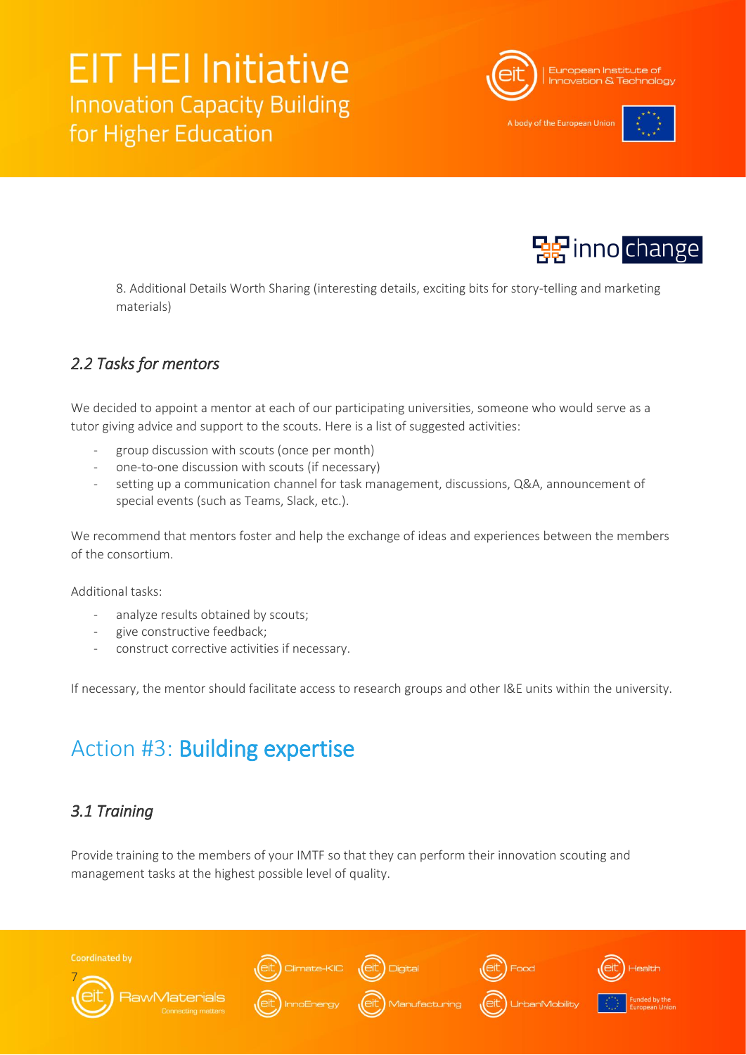

A body of the European Unio



8. Additional Details Worth Sharing (interesting details, exciting bits for story-telling and marketing materials)

### *2.2 Tasks for mentors*

We decided to appoint a mentor at each of our participating universities, someone who would serve as a tutor giving advice and support to the scouts. Here is a list of suggested activities:

- group discussion with scouts (once per month)
- one-to-one discussion with scouts (if necessary)
- setting up a communication channel for task management, discussions, Q&A, announcement of special events (such as Teams, Slack, etc.).

We recommend that mentors foster and help the exchange of ideas and experiences between the members of the consortium.

Additional tasks:

- analyze results obtained by scouts;
- give constructive feedback;
- construct corrective activities if necessary.

If necessary, the mentor should facilitate access to research groups and other I&E units within the university.

## Action #3: Building expertise

### *3.1 Training*

Provide training to the members of your IMTF so that they can perform their innovation scouting and management tasks at the highest possible level of quality.

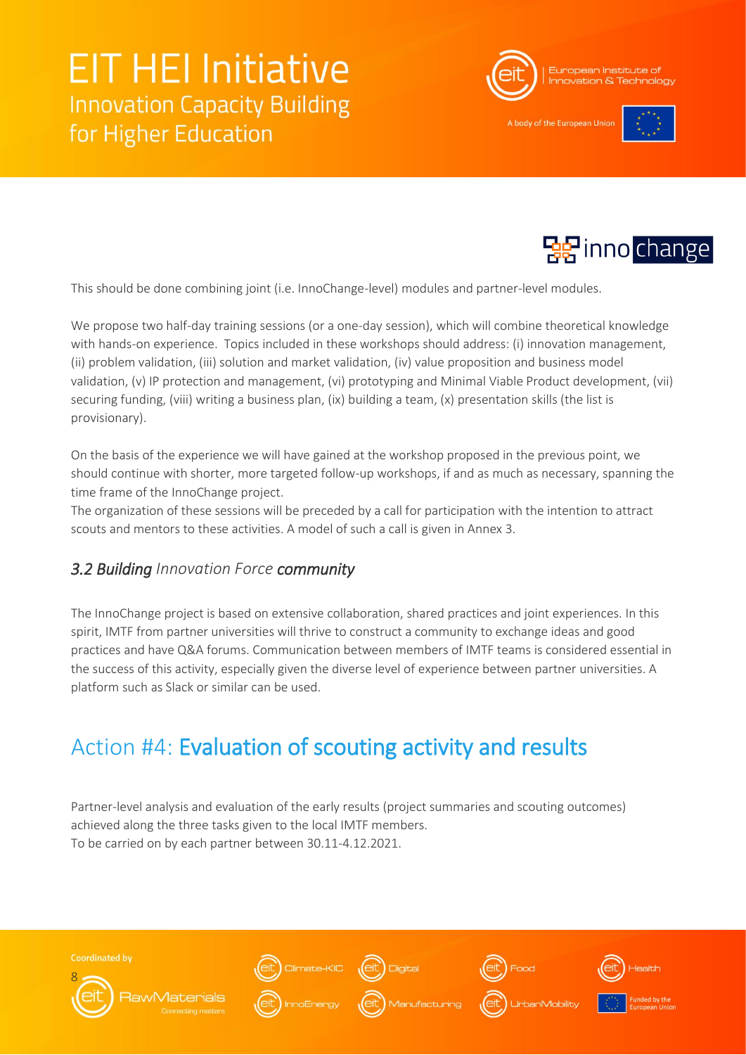

A body of the European Uni-





This should be done combining joint (i.e. InnoChange-level) modules and partner-level modules.

We propose two half-day training sessions (or a one-day session), which will combine theoretical knowledge with hands-on experience. Topics included in these workshops should address: (i) innovation management, (ii) problem validation, (iii) solution and market validation, (iv) value proposition and business model validation, (v) IP protection and management, (vi) prototyping and Minimal Viable Product development, (vii) securing funding, (viii) writing a business plan, (ix) building a team, (x) presentation skills (the list is provisionary).

On the basis of the experience we will have gained at the workshop proposed in the previous point, we should continue with shorter, more targeted follow-up workshops, if and as much as necessary, spanning the time frame of the InnoChange project.

The organization of these sessions will be preceded by a call for participation with the intention to attract scouts and mentors to these activities. A model of such a call is given in Annex 3.

### *3.2 Building Innovation Force community*

The InnoChange project is based on extensive collaboration, shared practices and joint experiences. In this spirit, IMTF from partner universities will thrive to construct a community to exchange ideas and good practices and have Q&A forums. Communication between members of IMTF teams is considered essential in the success of this activity, especially given the diverse level of experience between partner universities. A platform such as Slack or similar can be used.

## Action #4: Evaluation of scouting activity and results

Partner-level analysis and evaluation of the early results (project summaries and scouting outcomes) achieved along the three tasks given to the local IMTF members. To be carried on by each partner between 30.11-4.12.2021.



**Coordinated by** 











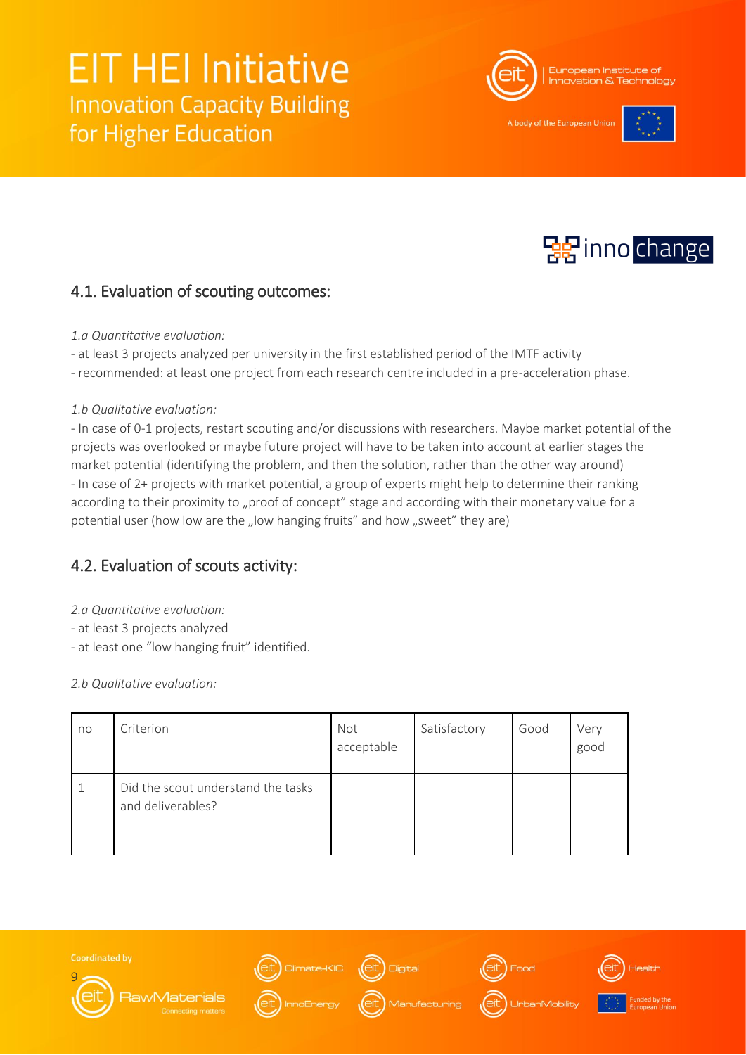

A body of the European Un





### 4.1. Evaluation of scouting outcomes:

#### *1.a Quantitative evaluation:*

- at least 3 projects analyzed per university in the first established period of the IMTF activity
- recommended: at least one project from each research centre included in a pre-acceleration phase.

#### *1.b Qualitative evaluation:*

- In case of 0-1 projects, restart scouting and/or discussions with researchers. Maybe market potential of the projects was overlooked or maybe future project will have to be taken into account at earlier stages the market potential (identifying the problem, and then the solution, rather than the other way around) - In case of 2+ projects with market potential, a group of experts might help to determine their ranking according to their proximity to "proof of concept" stage and according with their monetary value for a potential user (how low are the "low hanging fruits" and how "sweet" they are)

### 4.2. Evaluation of scouts activity:

- *2.a Quantitative evaluation:*
- at least 3 projects analyzed
- at least one "low hanging fruit" identified.

*2.b Qualitative evaluation:*

| no | Criterion                                               | Not<br>acceptable | Satisfactory | Good | Very<br>good |
|----|---------------------------------------------------------|-------------------|--------------|------|--------------|
|    | Did the scout understand the tasks<br>and deliverables? |                   |              |      |              |















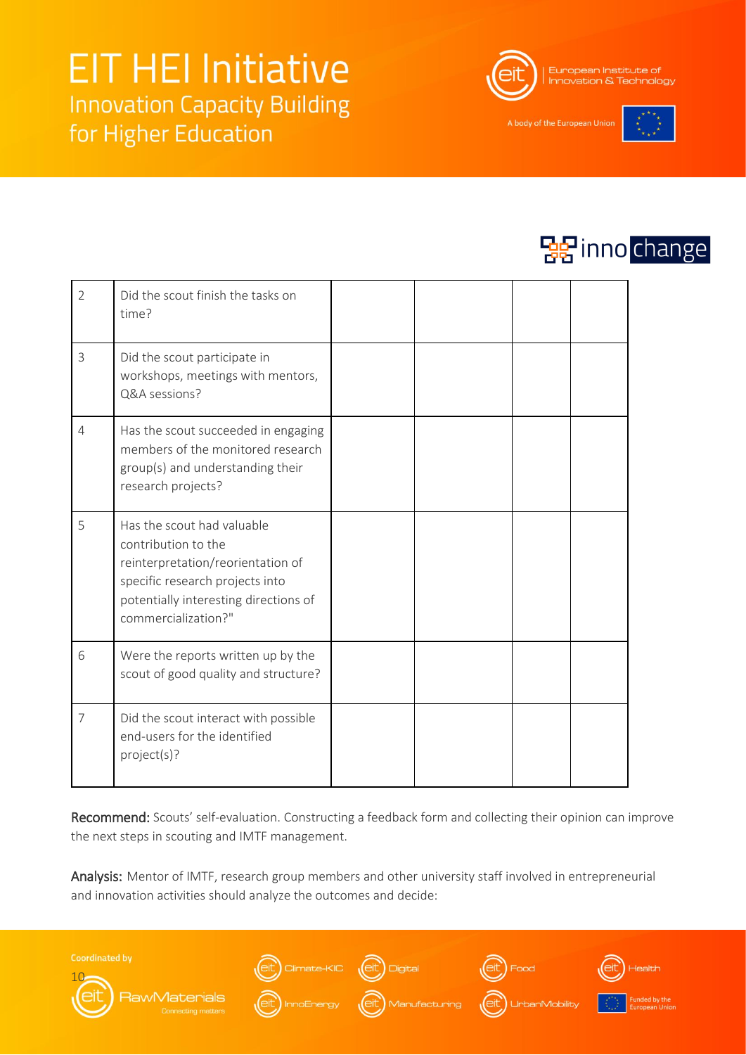

A body of the European Unic





| $\overline{2}$ | Did the scout finish the tasks on<br>time?                                                                                                                                                |  |  |
|----------------|-------------------------------------------------------------------------------------------------------------------------------------------------------------------------------------------|--|--|
| 3              | Did the scout participate in<br>workshops, meetings with mentors,<br>Q&A sessions?                                                                                                        |  |  |
| $\overline{4}$ | Has the scout succeeded in engaging<br>members of the monitored research<br>group(s) and understanding their<br>research projects?                                                        |  |  |
| 5              | Has the scout had valuable<br>contribution to the<br>reinterpretation/reorientation of<br>specific research projects into<br>potentially interesting directions of<br>commercialization?" |  |  |
| 6              | Were the reports written up by the<br>scout of good quality and structure?                                                                                                                |  |  |
| $\overline{7}$ | Did the scout interact with possible<br>end-users for the identified<br>project(s)?                                                                                                       |  |  |

Recommend: Scouts' self-evaluation. Constructing a feedback form and collecting their opinion can improve the next steps in scouting and IMTF management.

Analysis: Mentor of IMTF, research group members and other university staff involved in entrepreneurial and innovation activities should analyze the outcomes and decide:









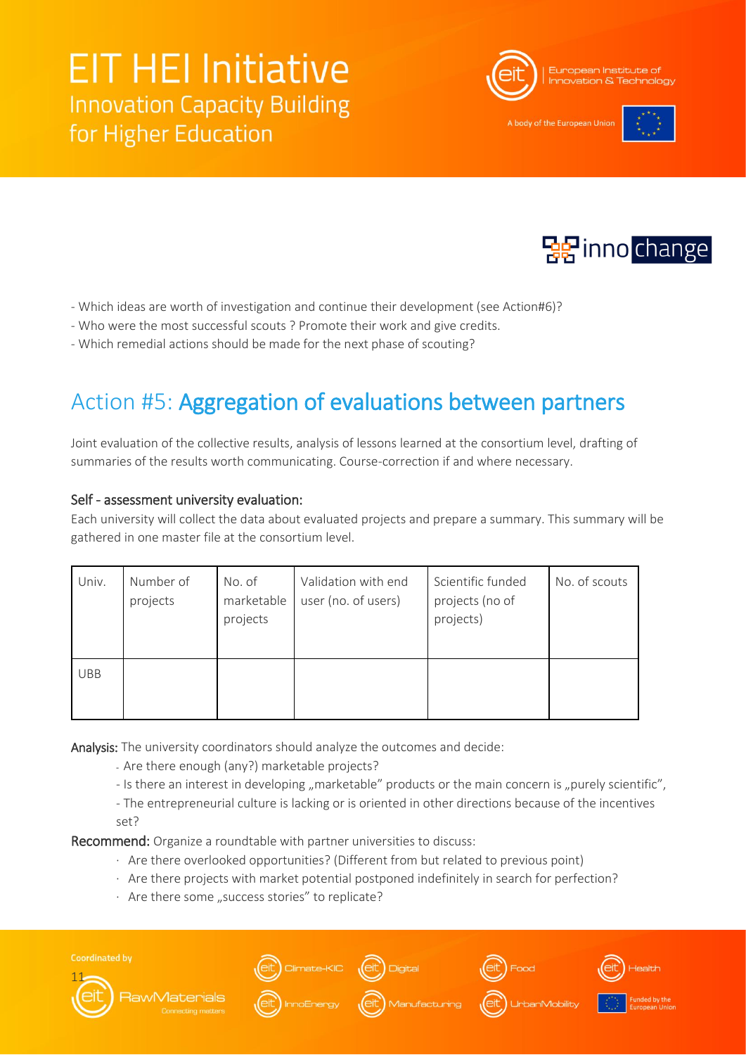

A body of the European Unio





- Which ideas are worth of investigation and continue their development (see Action#6)?
- Who were the most successful scouts ? Promote their work and give credits.
- Which remedial actions should be made for the next phase of scouting?

## Action #5: Aggregation of evaluations between partners

Joint evaluation of the collective results, analysis of lessons learned at the consortium level, drafting of summaries of the results worth communicating. Course-correction if and where necessary.

#### Self - assessment university evaluation:

Each university will collect the data about evaluated projects and prepare a summary. This summary will be gathered in one master file at the consortium level.

| Univ.      | Number of<br>projects | No. of<br>marketable<br>projects | Validation with end<br>user (no. of users) | Scientific funded<br>projects (no of<br>projects) | No. of scouts |
|------------|-----------------------|----------------------------------|--------------------------------------------|---------------------------------------------------|---------------|
| <b>UBB</b> |                       |                                  |                                            |                                                   |               |

Analysis: The university coordinators should analyze the outcomes and decide:

- Are there enough (any?) marketable projects?
- Is there an interest in developing "marketable" products or the main concern is "purely scientific",
- The entrepreneurial culture is lacking or is oriented in other directions because of the incentives set?

Recommend: Organize a roundtable with partner universities to discuss:

- · Are there overlooked opportunities? (Different from but related to previous point)
- · Are there projects with market potential postponed indefinitely in search for perfection?
- $\cdot$  Are there some "success stories" to replicate?







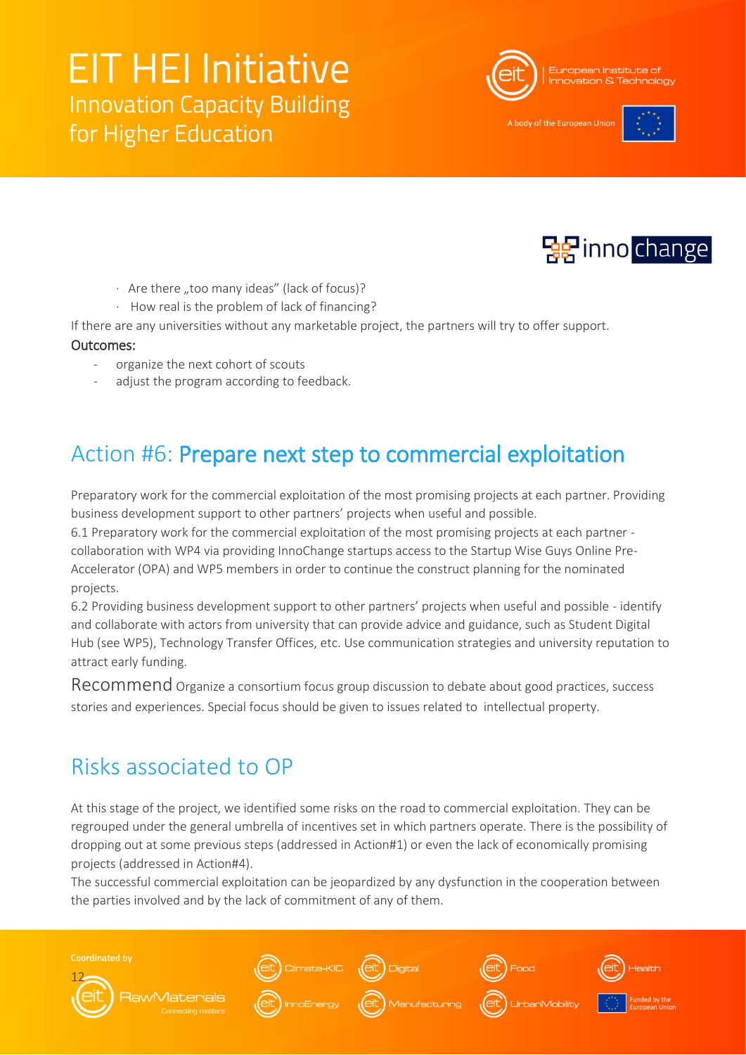

A body of the European Uni-





- $\cdot$  Are there "too many ideas" (lack of focus)?
- · How real is the problem of lack of financing?

If there are any universities without any marketable project, the partners will try to offer support.

#### Outcomes:

- organize the next cohort of scouts
- adjust the program according to feedback.

## Action #6: Prepare next step to commercial exploitation

Preparatory work for the commercial exploitation of the most promising projects at each partner. Providing business development support to other partners' projects when useful and possible.

6.1 Preparatory work for the commercial exploitation of the most promising projects at each partner collaboration with WP4 via providing InnoChange startups access to the Startup Wise Guys Online Pre-Accelerator (OPA) and WP5 members in order to continue the construct planning for the nominated projects.

6.2 Providing business development support to other partners' projects when useful and possible - identify and collaborate with actors from university that can provide advice and guidance, such as Student Digital Hub (see WP5), Technology Transfer Offices, etc. Use communication strategies and university reputation to attract early funding.

Recommend Organize a consortium focus group discussion to debate about good practices, success stories and experiences. Special focus should be given to issues related to intellectual property.

### Risks associated to OP

At this stage of the project, we identified some risks on the road to commercial exploitation. They can be regrouped under the general umbrella of incentives set in which partners operate. There is the possibility of dropping out at some previous steps (addressed in Action#1) or even the lack of economically promising projects (addressed in Action#4).

The successful commercial exploitation can be jeopardized by any dysfunction in the cooperation between the parties involved and by the lack of commitment of any of them.

**Coordinated by** 











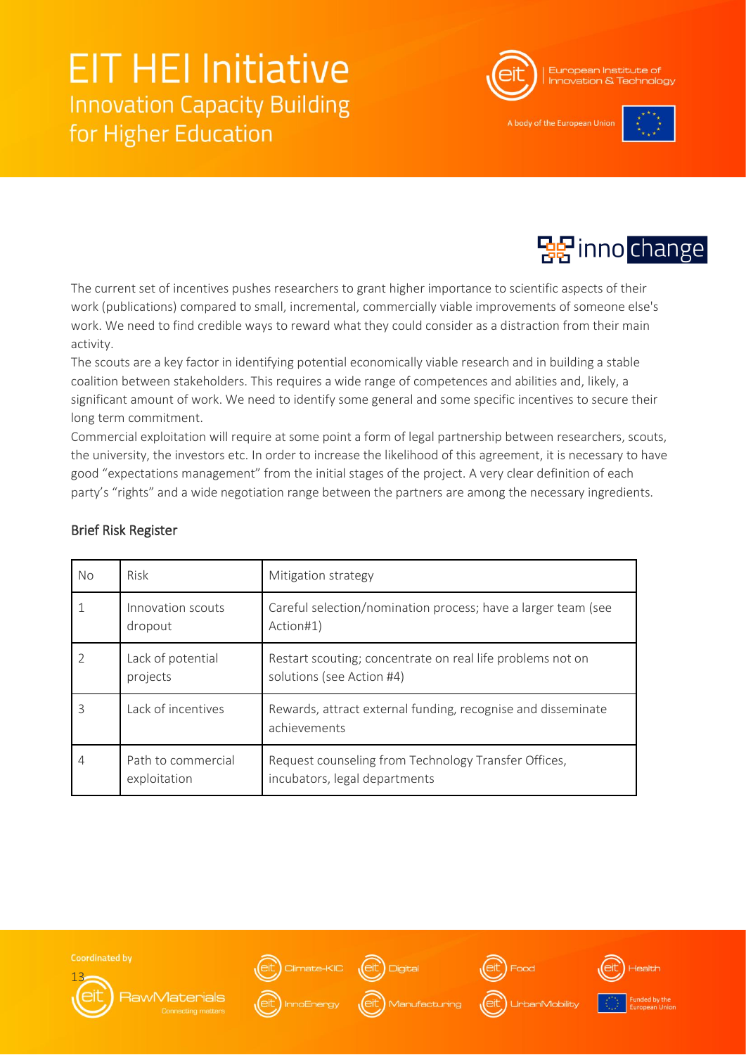

A body of the European Uni





The current set of incentives pushes researchers to grant higher importance to scientific aspects of their work (publications) compared to small, incremental, commercially viable improvements of someone else's work. We need to find credible ways to reward what they could consider as a distraction from their main activity.

The scouts are a key factor in identifying potential economically viable research and in building a stable coalition between stakeholders. This requires a wide range of competences and abilities and, likely, a significant amount of work. We need to identify some general and some specific incentives to secure their long term commitment.

Commercial exploitation will require at some point a form of legal partnership between researchers, scouts, the university, the investors etc. In order to increase the likelihood of this agreement, it is necessary to have good "expectations management" from the initial stages of the project. A very clear definition of each party's "rights" and a wide negotiation range between the partners are among the necessary ingredients.

| <b>No</b> | Risk                               | Mitigation strategy                                                                     |
|-----------|------------------------------------|-----------------------------------------------------------------------------------------|
|           | Innovation scouts<br>dropout       | Careful selection/nomination process; have a larger team (see<br>Action#1)              |
| 2         | Lack of potential<br>projects      | Restart scouting; concentrate on real life problems not on<br>solutions (see Action #4) |
| 3         | Lack of incentives                 | Rewards, attract external funding, recognise and disseminate<br>achievements            |
| 4         | Path to commercial<br>exploitation | Request counseling from Technology Transfer Offices,<br>incubators, legal departments   |

#### Brief Risk Register





**RawMaterials** 

ate-KIC (eit)





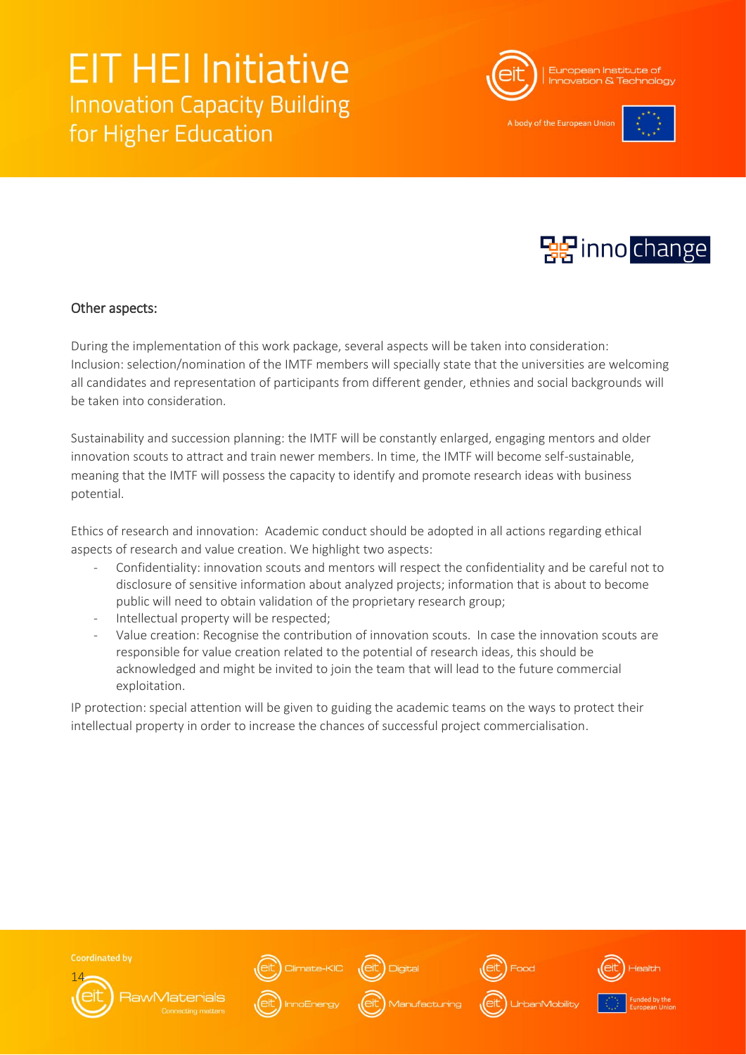

A body of the European Uni-





#### Other aspects:

During the implementation of this work package, several aspects will be taken into consideration: Inclusion: selection/nomination of the IMTF members will specially state that the universities are welcoming all candidates and representation of participants from different gender, ethnies and social backgrounds will be taken into consideration.

Sustainability and succession planning: the IMTF will be constantly enlarged, engaging mentors and older innovation scouts to attract and train newer members. In time, the IMTF will become self-sustainable, meaning that the IMTF will possess the capacity to identify and promote research ideas with business potential.

Ethics of research and innovation: Academic conduct should be adopted in all actions regarding ethical aspects of research and value creation. We highlight two aspects:

- Confidentiality: innovation scouts and mentors will respect the confidentiality and be careful not to disclosure of sensitive information about analyzed projects; information that is about to become public will need to obtain validation of the proprietary research group;
- Intellectual property will be respected;
- Value creation: Recognise the contribution of innovation scouts. In case the innovation scouts are responsible for value creation related to the potential of research ideas, this should be acknowledged and might be invited to join the team that will lead to the future commercial exploitation.

IP protection: special attention will be given to guiding the academic teams on the ways to protect their intellectual property in order to increase the chances of successful project commercialisation.





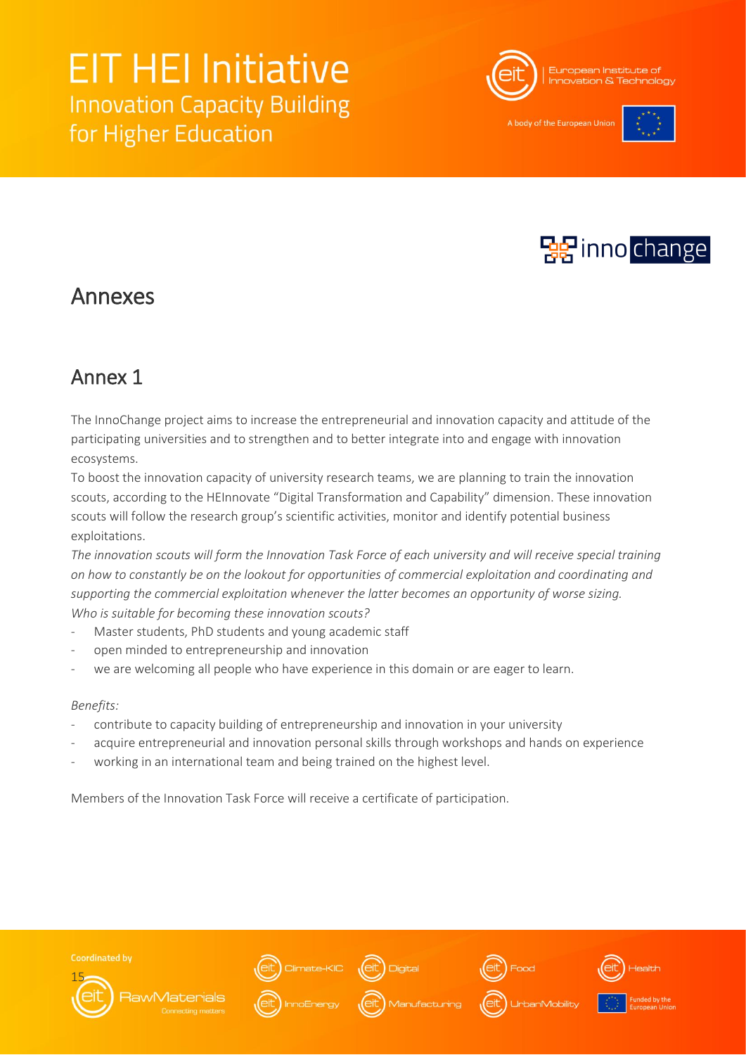

A body of the European Uni-





### Annexes

### Annex 1

The InnoChange project aims to increase the entrepreneurial and innovation capacity and attitude of the participating universities and to strengthen and to better integrate into and engage with innovation ecosystems.

To boost the innovation capacity of university research teams, we are planning to train the innovation scouts, according to the HEInnovate "Digital Transformation and Capability" dimension. These innovation scouts will follow the research group's scientific activities, monitor and identify potential business exploitations.

*The innovation scouts will form the Innovation Task Force of each university and will receive special training on how to constantly be on the lookout for opportunities of commercial exploitation and coordinating and supporting the commercial exploitation whenever the latter becomes an opportunity of worse sizing. Who is suitable for becoming these innovation scouts?* 

- Master students, PhD students and young academic staff
- open minded to entrepreneurship and innovation
- we are welcoming all people who have experience in this domain or are eager to learn.

#### *Benefits:*

- contribute to capacity building of entrepreneurship and innovation in your university
- acquire entrepreneurial and innovation personal skills through workshops and hands on experience
- working in an international team and being trained on the highest level.

Members of the Innovation Task Force will receive a certificate of participation.



**Coordinated by** 









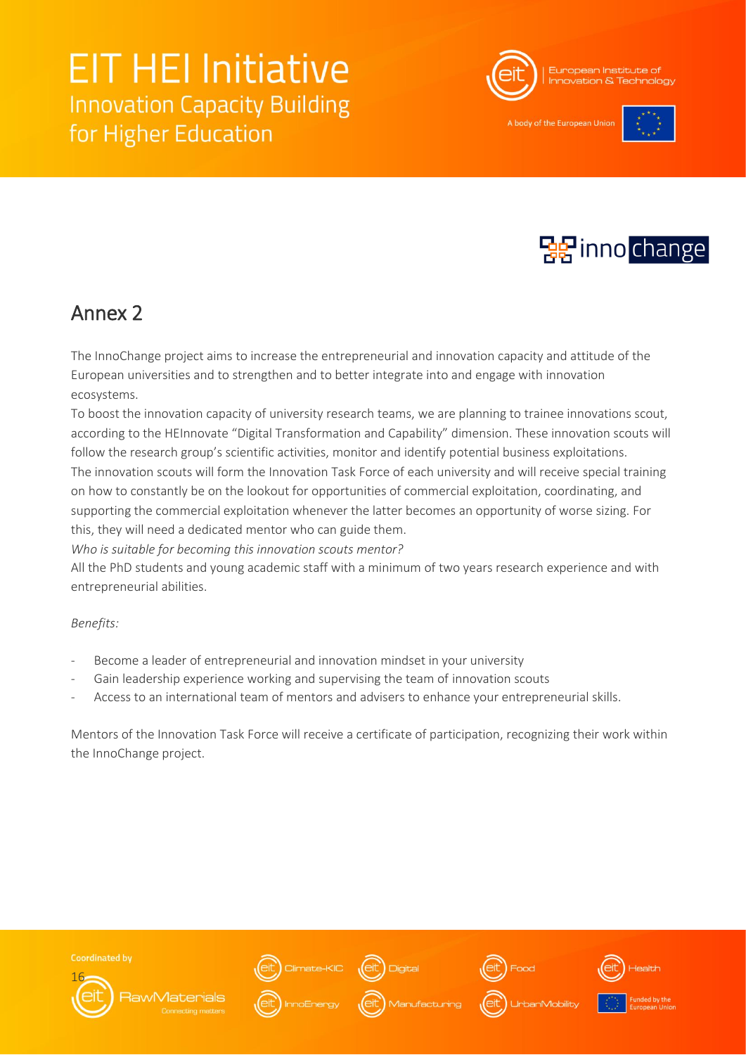

A body of the European Uni-





### Annex 2

The InnoChange project aims to increase the entrepreneurial and innovation capacity and attitude of the European universities and to strengthen and to better integrate into and engage with innovation ecosystems.

To boost the innovation capacity of university research teams, we are planning to trainee innovations scout, according to the HEInnovate "Digital Transformation and Capability" dimension. These innovation scouts will follow the research group's scientific activities, monitor and identify potential business exploitations. The innovation scouts will form the Innovation Task Force of each university and will receive special training on how to constantly be on the lookout for opportunities of commercial exploitation, coordinating, and supporting the commercial exploitation whenever the latter becomes an opportunity of worse sizing. For this, they will need a dedicated mentor who can guide them.

*Who is suitable for becoming this innovation scouts mentor?* 

All the PhD students and young academic staff with a minimum of two years research experience and with entrepreneurial abilities.

#### *Benefits:*

- Become a leader of entrepreneurial and innovation mindset in your university
- Gain leadership experience working and supervising the team of innovation scouts
- Access to an international team of mentors and advisers to enhance your entrepreneurial skills.

Mentors of the Innovation Task Force will receive a certificate of participation, recognizing their work within the InnoChange project.